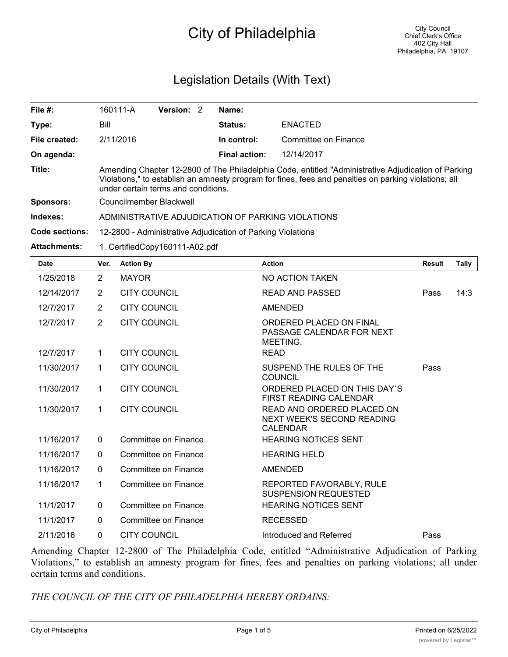## City of Philadelphia

## Legislation Details (With Text)

| File $#$ :          | 160111-A                                                                                                                                                                                                                                            | <b>Version:</b><br>- 2 |  | Name:                |                      |  |  |
|---------------------|-----------------------------------------------------------------------------------------------------------------------------------------------------------------------------------------------------------------------------------------------------|------------------------|--|----------------------|----------------------|--|--|
| Type:               | Bill                                                                                                                                                                                                                                                |                        |  | Status:              | <b>ENACTED</b>       |  |  |
| File created:       | 2/11/2016                                                                                                                                                                                                                                           |                        |  | In control:          | Committee on Finance |  |  |
| On agenda:          |                                                                                                                                                                                                                                                     |                        |  | <b>Final action:</b> | 12/14/2017           |  |  |
| Title:              | Amending Chapter 12-2800 of The Philadelphia Code, entitled "Administrative Adjudication of Parking<br>Violations," to establish an amnesty program for fines, fees and penalties on parking violations; all<br>under certain terms and conditions. |                        |  |                      |                      |  |  |
| <b>Sponsors:</b>    | Councilmember Blackwell                                                                                                                                                                                                                             |                        |  |                      |                      |  |  |
| Indexes:            | ADMINISTRATIVE ADJUDICATION OF PARKING VIOLATIONS                                                                                                                                                                                                   |                        |  |                      |                      |  |  |
| Code sections:      | 12-2800 - Administrative Adjudication of Parking Violations                                                                                                                                                                                         |                        |  |                      |                      |  |  |
| <b>Attachments:</b> | 1. CertifiedCopy160111-A02.pdf                                                                                                                                                                                                                      |                        |  |                      |                      |  |  |

| <b>Date</b> | Ver.           | <b>Action By</b>            | <b>Action</b>                                                               | <b>Result</b> | <b>Tally</b> |
|-------------|----------------|-----------------------------|-----------------------------------------------------------------------------|---------------|--------------|
| 1/25/2018   | $\overline{2}$ | <b>MAYOR</b>                | NO ACTION TAKEN                                                             |               |              |
| 12/14/2017  | $\overline{2}$ | <b>CITY COUNCIL</b>         | <b>READ AND PASSED</b>                                                      | Pass          | 14:3         |
| 12/7/2017   | $\overline{2}$ | <b>CITY COUNCIL</b>         | <b>AMENDED</b>                                                              |               |              |
| 12/7/2017   | $\overline{2}$ | <b>CITY COUNCIL</b>         | ORDERED PLACED ON FINAL<br>PASSAGE CALENDAR FOR NEXT<br>MEETING.            |               |              |
| 12/7/2017   | 1              | <b>CITY COUNCIL</b>         | <b>READ</b>                                                                 |               |              |
| 11/30/2017  | 1              | <b>CITY COUNCIL</b>         | SUSPEND THE RULES OF THE<br><b>COUNCIL</b>                                  | Pass          |              |
| 11/30/2017  | 1              | <b>CITY COUNCIL</b>         | ORDERED PLACED ON THIS DAY'S<br><b>FIRST READING CALENDAR</b>               |               |              |
| 11/30/2017  | 1.             | <b>CITY COUNCIL</b>         | READ AND ORDERED PLACED ON<br>NEXT WEEK'S SECOND READING<br><b>CALENDAR</b> |               |              |
| 11/16/2017  | $\mathbf{0}$   | Committee on Finance        | <b>HEARING NOTICES SENT</b>                                                 |               |              |
| 11/16/2017  | $\Omega$       | Committee on Finance        | <b>HEARING HELD</b>                                                         |               |              |
| 11/16/2017  | $\mathbf{0}$   | Committee on Finance        | <b>AMENDED</b>                                                              |               |              |
| 11/16/2017  | 1              | Committee on Finance        | REPORTED FAVORABLY, RULE<br><b>SUSPENSION REQUESTED</b>                     |               |              |
| 11/1/2017   | $\mathbf{0}$   | <b>Committee on Finance</b> | <b>HEARING NOTICES SENT</b>                                                 |               |              |
| 11/1/2017   | $\mathbf{0}$   | Committee on Finance        | <b>RECESSED</b>                                                             |               |              |
| 2/11/2016   | 0              | <b>CITY COUNCIL</b>         | Introduced and Referred                                                     | Pass          |              |

Amending Chapter 12-2800 of The Philadelphia Code, entitled "Administrative Adjudication of Parking Violations," to establish an amnesty program for fines, fees and penalties on parking violations; all under certain terms and conditions.

*THE COUNCIL OF THE CITY OF PHILADELPHIA HEREBY ORDAINS:*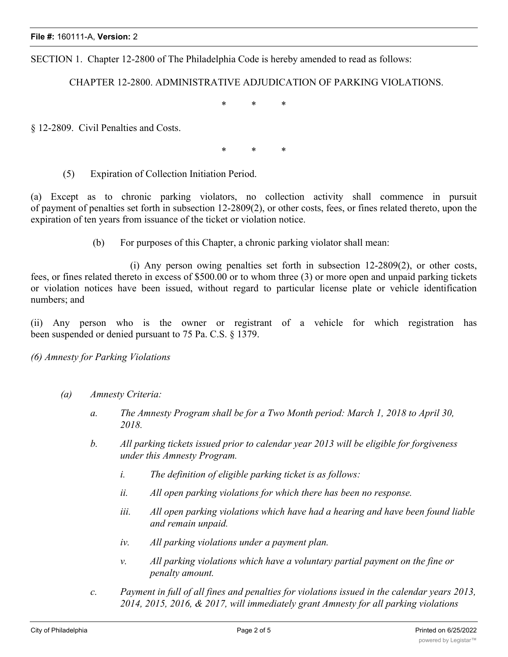SECTION 1. Chapter 12-2800 of The Philadelphia Code is hereby amended to read as follows:

CHAPTER 12-2800. ADMINISTRATIVE ADJUDICATION OF PARKING VIOLATIONS.

\* \* \*

§ 12-2809. Civil Penalties and Costs.

\* \* \*

(5) Expiration of Collection Initiation Period.

(a) Except as to chronic parking violators, no collection activity shall commence in pursuit of payment of penalties set forth in subsection 12-2809(2), or other costs, fees, or fines related thereto, upon the expiration of ten years from issuance of the ticket or violation notice.

(b) For purposes of this Chapter, a chronic parking violator shall mean:

(i) Any person owing penalties set forth in subsection 12-2809(2), or other costs, fees, or fines related thereto in excess of \$500.00 or to whom three (3) or more open and unpaid parking tickets or violation notices have been issued, without regard to particular license plate or vehicle identification numbers; and

(ii) Any person who is the owner or registrant of a vehicle for which registration has been suspended or denied pursuant to 75 Pa. C.S. § 1379.

## *(6) Amnesty for Parking Violations*

- *(a) Amnesty Criteria:*
	- *a. The Amnesty Program shall be for a Two Month period: March 1, 2018 to April 30, 2018.*
	- *b. All parking tickets issued prior to calendar year 2013 will be eligible for forgiveness under this Amnesty Program.*
		- *i. The definition of eligible parking ticket is as follows:*
		- *ii. All open parking violations for which there has been no response.*
		- *iii. All open parking violations which have had a hearing and have been found liable and remain unpaid.*
		- *iv. All parking violations under a payment plan.*
		- *v. All parking violations which have a voluntary partial payment on the fine or penalty amount.*
	- *c. Payment in full of all fines and penalties for violations issued in the calendar years 2013, 2014, 2015, 2016, & 2017, will immediately grant Amnesty for all parking violations*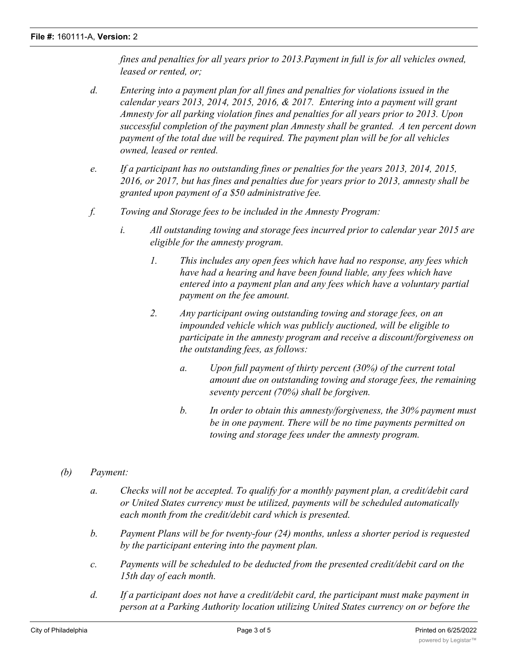*fines and penalties for all years prior to 2013.Payment in full is for all vehicles owned, leased or rented, or;*

- *d. Entering into a payment plan for all fines and penalties for violations issued in the calendar years 2013, 2014, 2015, 2016, & 2017. Entering into a payment will grant Amnesty for all parking violation fines and penalties for all years prior to 2013. Upon successful completion of the payment plan Amnesty shall be granted. A ten percent down payment of the total due will be required. The payment plan will be for all vehicles owned, leased or rented.*
- *e. If a participant has no outstanding fines or penalties for the years 2013, 2014, 2015, 2016, or 2017, but has fines and penalties due for years prior to 2013, amnesty shall be granted upon payment of a \$50 administrative fee.*
- *f. Towing and Storage fees to be included in the Amnesty Program:*
	- *i. All outstanding towing and storage fees incurred prior to calendar year 2015 are eligible for the amnesty program.*
		- *1. This includes any open fees which have had no response, any fees which have had a hearing and have been found liable, any fees which have entered into a payment plan and any fees which have a voluntary partial payment on the fee amount.*
		- *2. Any participant owing outstanding towing and storage fees, on an impounded vehicle which was publicly auctioned, will be eligible to participate in the amnesty program and receive a discount/forgiveness on the outstanding fees, as follows:*
			- *a. Upon full payment of thirty percent (30%) of the current total amount due on outstanding towing and storage fees, the remaining seventy percent (70%) shall be forgiven.*
			- *b. In order to obtain this amnesty/forgiveness, the 30% payment must be in one payment. There will be no time payments permitted on towing and storage fees under the amnesty program.*
- *(b) Payment:*
	- *a. Checks will not be accepted. To qualify for a monthly payment plan, a credit/debit card or United States currency must be utilized, payments will be scheduled automatically each month from the credit/debit card which is presented.*
	- *b. Payment Plans will be for twenty-four (24) months, unless a shorter period is requested by the participant entering into the payment plan.*
	- *c. Payments will be scheduled to be deducted from the presented credit/debit card on the 15th day of each month.*
	- *d. If a participant does not have a credit/debit card, the participant must make payment in person at a Parking Authority location utilizing United States currency on or before the*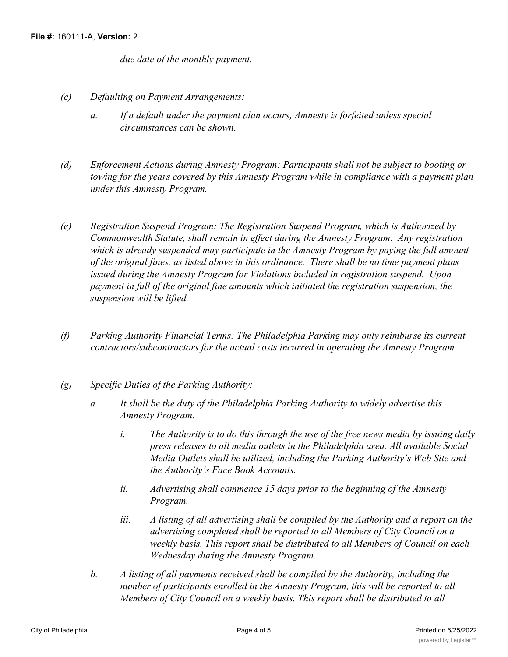*due date of the monthly payment.*

- *(c) Defaulting on Payment Arrangements:*
	- *a. If a default under the payment plan occurs, Amnesty is forfeited unless special circumstances can be shown.*
- *(d) Enforcement Actions during Amnesty Program: Participants shall not be subject to booting or towing for the years covered by this Amnesty Program while in compliance with a payment plan under this Amnesty Program.*
- *(e) Registration Suspend Program: The Registration Suspend Program, which is Authorized by Commonwealth Statute, shall remain in effect during the Amnesty Program. Any registration which is already suspended may participate in the Amnesty Program by paying the full amount of the original fines, as listed above in this ordinance. There shall be no time payment plans issued during the Amnesty Program for Violations included in registration suspend. Upon payment in full of the original fine amounts which initiated the registration suspension, the suspension will be lifted.*
- *(f) Parking Authority Financial Terms: The Philadelphia Parking may only reimburse its current contractors/subcontractors for the actual costs incurred in operating the Amnesty Program.*
- *(g) Specific Duties of the Parking Authority:*
	- *a. It shall be the duty of the Philadelphia Parking Authority to widely advertise this Amnesty Program.*
		- *i. The Authority is to do this through the use of the free news media by issuing daily press releases to all media outlets in the Philadelphia area. All available Social Media Outlets shall be utilized, including the Parking Authority's Web Site and the Authority's Face Book Accounts.*
		- *ii. Advertising shall commence 15 days prior to the beginning of the Amnesty Program.*
		- *iii. A listing of all advertising shall be compiled by the Authority and a report on the advertising completed shall be reported to all Members of City Council on a weekly basis. This report shall be distributed to all Members of Council on each Wednesday during the Amnesty Program.*
	- *b. A listing of all payments received shall be compiled by the Authority, including the number of participants enrolled in the Amnesty Program, this will be reported to all Members of City Council on a weekly basis. This report shall be distributed to all*